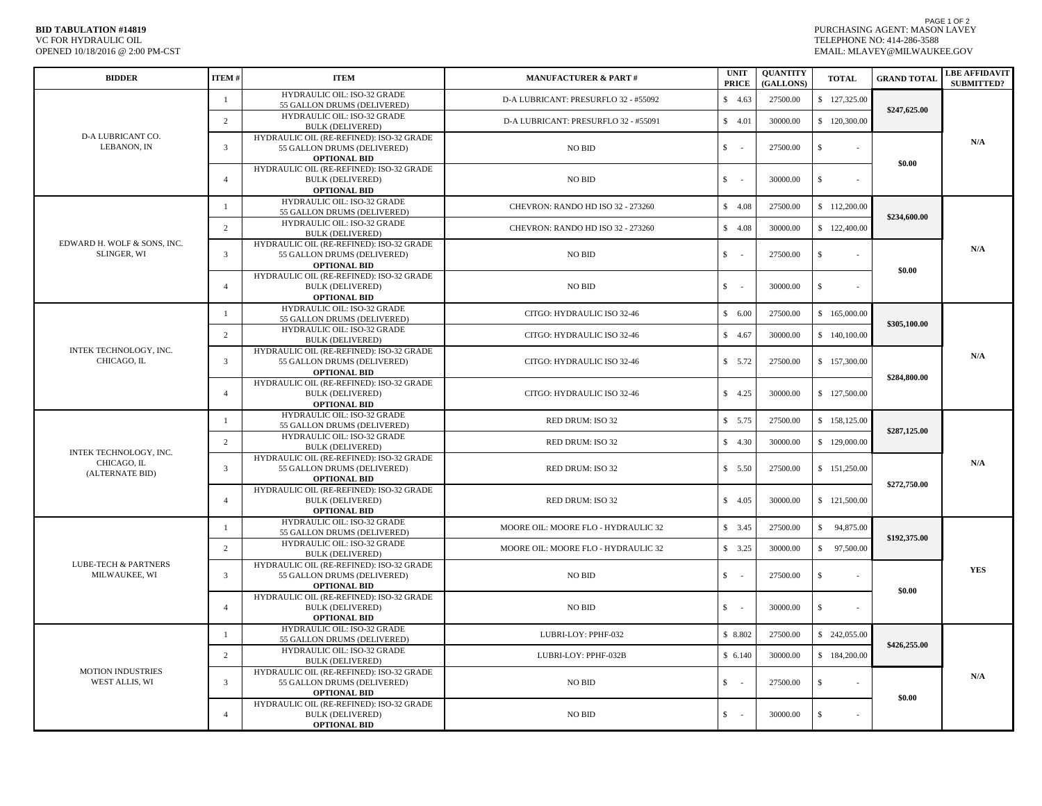## **BID TABULATION #14819** OPENED 10/18/2016 @ 2:00 PM-CST VC FOR HYDRAULIC OIL

PAGE 1 OF 2 PURCHASING AGENT: MASON LAVEY EMAIL: MLAVEY@MILWAUKEE.GOV TELEPHONE NO: 414-286-3588

| <b>BIDDER</b>                                            | ITEM#                  | <b>ITEM</b>                                                                                    | <b>MANUFACTURER &amp; PART#</b>      | <b>UNIT</b><br><b>PRICE</b>              | <b>OUANTITY</b><br>(GALLONS) | <b>TOTAL</b>       | <b>GRAND TOTAL</b>           | <b>LBE AFFIDAVIT</b><br><b>SUBMITTED?</b> |
|----------------------------------------------------------|------------------------|------------------------------------------------------------------------------------------------|--------------------------------------|------------------------------------------|------------------------------|--------------------|------------------------------|-------------------------------------------|
| D-A LUBRICANT CO.<br>LEBANON, IN                         | -1                     | HYDRAULIC OIL: ISO-32 GRADE<br>55 GALLON DRUMS (DELIVERED)                                     | D-A LUBRICANT: PRESURFLO 32 - #55092 | \$4.63                                   | 27500.00                     | \$127,325.00       |                              |                                           |
|                                                          | 2                      | HYDRAULIC OIL: ISO-32 GRADE<br><b>BULK (DELIVERED)</b>                                         | D-A LUBRICANT: PRESURFLO 32 - #55091 | \$4.01                                   | 30000.00                     | \$120,300.00       | \$247,625.00                 | N/A                                       |
|                                                          | 3                      | HYDRAULIC OIL (RE-REFINED): ISO-32 GRADE<br>55 GALLON DRUMS (DELIVERED)<br><b>OPTIONAL BID</b> | NO BID                               | $\mathbb{S}$<br>$\overline{a}$           | 27500.00                     | $\mathbb{S}$       | \$0.00                       |                                           |
|                                                          | $\overline{4}$         | HYDRAULIC OIL (RE-REFINED): ISO-32 GRADE<br><b>BULK (DELIVERED)</b><br><b>OPTIONAL BID</b>     | NO BID                               | \$<br>$\overline{\phantom{a}}$           | 30000.00                     | \$                 |                              |                                           |
| EDWARD H. WOLF & SONS, INC.<br>SLINGER, WI               | -1                     | HYDRAULIC OIL: ISO-32 GRADE<br>55 GALLON DRUMS (DELIVERED)                                     | CHEVRON: RANDO HD ISO 32 - 273260    | \$4.08                                   | 27500.00                     | \$112,200.00       | \$234,600.00<br>\$0.00       | N/A                                       |
|                                                          | 2                      | HYDRAULIC OIL: ISO-32 GRADE<br><b>BULK (DELIVERED)</b>                                         | CHEVRON: RANDO HD ISO 32 - 273260    | \$4.08                                   | 30000.00                     | \$122,400.00       |                              |                                           |
|                                                          | $\overline{3}$         | HYDRAULIC OIL (RE-REFINED): ISO-32 GRADE<br>55 GALLON DRUMS (DELIVERED)<br><b>OPTIONAL BID</b> | <b>NO BID</b>                        | $\mathsf{s}$<br>$\overline{\phantom{a}}$ | 27500.00                     | $\mathcal{S}$      |                              |                                           |
|                                                          | $\overline{4}$         | HYDRAULIC OIL (RE-REFINED): ISO-32 GRADE<br><b>BULK (DELIVERED)</b><br><b>OPTIONAL BID</b>     | NO BID                               | \$<br>٠.                                 | 30000.00                     | $\mathbb{S}$       |                              |                                           |
| INTEK TECHNOLOGY, INC.<br>CHICAGO, IL                    | $\overline{1}$         | HYDRAULIC OIL: ISO-32 GRADE<br>55 GALLON DRUMS (DELIVERED)                                     | CITGO: HYDRAULIC ISO 32-46           | \$6.00                                   | 27500.00                     | \$165,000.00       | \$305,100.00                 |                                           |
|                                                          | 2                      | HYDRAULIC OIL: ISO-32 GRADE<br><b>BULK (DELIVERED)</b>                                         | CITGO: HYDRAULIC ISO 32-46           | \$4.67                                   | 30000.00                     | \$140,100.00       |                              | N/A                                       |
|                                                          | 3                      | HYDRAULIC OIL (RE-REFINED): ISO-32 GRADE<br>55 GALLON DRUMS (DELIVERED)<br><b>OPTIONAL BID</b> | CITGO: HYDRAULIC ISO 32-46           | \$5.72                                   | 27500.00                     | \$157,300.00       | \$284,800.00                 |                                           |
|                                                          | $\overline{4}$         | HYDRAULIC OIL (RE-REFINED): ISO-32 GRADE<br><b>BULK (DELIVERED)</b><br><b>OPTIONAL BID</b>     | CITGO: HYDRAULIC ISO 32-46           | \$4.25                                   | 30000.00                     | \$127,500.00       |                              |                                           |
| INTEK TECHNOLOGY, INC.<br>CHICAGO, IL<br>(ALTERNATE BID) | $\overline{1}$         | HYDRAULIC OIL: ISO-32 GRADE<br>55 GALLON DRUMS (DELIVERED)                                     | RED DRUM: ISO 32                     | \$5.75                                   | 27500.00                     | \$158,125.00       | \$287,125.00<br>\$272,750.00 | N/A                                       |
|                                                          | 2                      | HYDRAULIC OIL: ISO-32 GRADE<br><b>BULK (DELIVERED)</b>                                         | RED DRUM: ISO 32                     | \$4.30                                   | 30000.00                     | \$129,000.00       |                              |                                           |
|                                                          | $\overline{3}$         | HYDRAULIC OIL (RE-REFINED): ISO-32 GRADE<br>55 GALLON DRUMS (DELIVERED)<br><b>OPTIONAL BID</b> | RED DRUM: ISO 32                     | \$5.50                                   | 27500.00                     | \$151,250.00       |                              |                                           |
|                                                          | $\overline{4}$         | HYDRAULIC OIL (RE-REFINED): ISO-32 GRADE<br><b>BULK (DELIVERED)</b><br><b>OPTIONAL BID</b>     | RED DRUM: ISO 32                     | \$4.05                                   | 30000.00                     | \$121,500.00       |                              |                                           |
| <b>LUBE-TECH &amp; PARTNERS</b><br>MILWAUKEE, WI         | -1                     | HYDRAULIC OIL: ISO-32 GRADE<br>55 GALLON DRUMS (DELIVERED)                                     | MOORE OIL: MOORE FLO - HYDRAULIC 32  | \$3.45                                   | 27500.00                     | \$ 94,875.00       |                              | <b>YES</b>                                |
|                                                          | 2                      | HYDRAULIC OIL: ISO-32 GRADE<br><b>BULK (DELIVERED)</b>                                         | MOORE OIL: MOORE FLO - HYDRAULIC 32  | \$3.25                                   | 30000.00                     | \$ 97,500.00       | \$192,375.00                 |                                           |
|                                                          | $\overline{3}$         | HYDRAULIC OIL (RE-REFINED): ISO-32 GRADE<br>55 GALLON DRUMS (DELIVERED)<br><b>OPTIONAL BID</b> | NO BID                               | $S -$                                    | 27500.00                     | $\mathbf{s}$       | \$0.00                       |                                           |
|                                                          | $\overline{4}$         | HYDRAULIC OIL (RE-REFINED): ISO-32 GRADE<br><b>BULK (DELIVERED)</b><br><b>OPTIONAL BID</b>     | <b>NO BID</b>                        | $\mathbb{S}$                             | 30000.00                     | \$                 |                              |                                           |
| <b>MOTION INDUSTRIES</b><br>WEST ALLIS, WI               | -1                     | HYDRAULIC OIL: ISO-32 GRADE<br>55 GALLON DRUMS (DELIVERED)                                     | LUBRI-LOY: PPHF-032                  | \$ 8.802                                 | 27500.00                     | \$ 242,055.00      | \$426,255.00                 | N/A                                       |
|                                                          | 2                      | <b>HYDRAULIC OIL: ISO-32 GRADE</b><br><b>BULK (DELIVERED)</b>                                  | LUBRI-LOY: PPHF-032B                 | \$6.140                                  | 30000.00                     | \$184,200.00       |                              |                                           |
|                                                          | $\overline{3}$         | HYDRAULIC OIL (RE-REFINED): ISO-32 GRADE<br>55 GALLON DRUMS (DELIVERED)<br><b>OPTIONAL BID</b> | <b>NO BID</b>                        | $\mathbb{S}$<br>$\overline{\phantom{a}}$ | 27500.00                     | $\mathbf{\hat{s}}$ | \$0.00                       |                                           |
|                                                          | $\boldsymbol{\Lambda}$ | HYDRAULIC OIL (RE-REFINED): ISO-32 GRADE<br><b>BULK (DELIVERED)</b><br><b>OPTIONAL BID</b>     | <b>NO BID</b>                        | $\mathbb{S}$<br>$\sim$                   | 30000.00                     | $\mathbb{S}$       |                              |                                           |